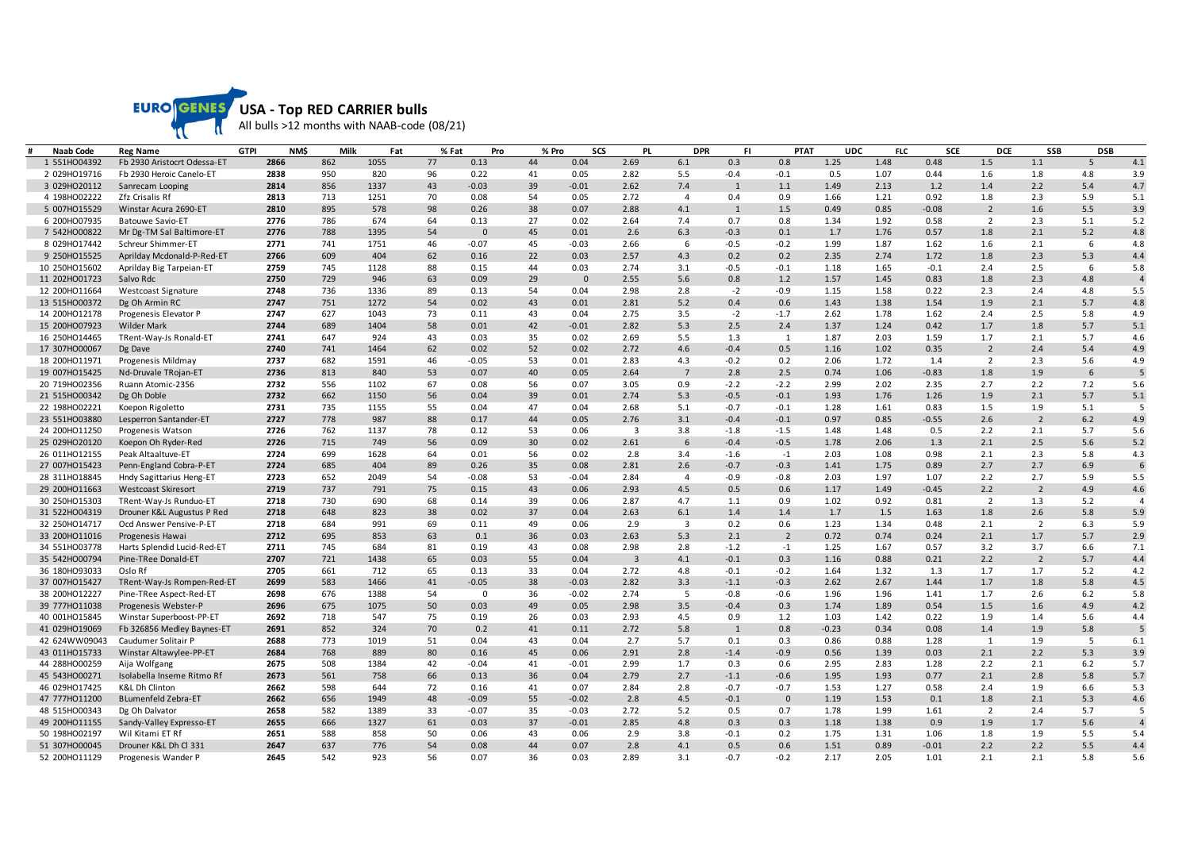

| <b>Naab Code</b> | <b>Reg Name</b>             | <b>GTPI</b><br>NM\$ | Milk | Fat  | % Fat | Pro          | % Pro | <b>SCS</b> | <b>PL</b>               | <b>DPR</b>     | FI.          | <b>PTAT</b>    | <b>UDC</b> | <b>FLC</b> | <b>SCE</b> | <b>DCE</b>     | <b>SSB</b>     | <b>DSB</b> |                |
|------------------|-----------------------------|---------------------|------|------|-------|--------------|-------|------------|-------------------------|----------------|--------------|----------------|------------|------------|------------|----------------|----------------|------------|----------------|
| 1 551HO04392     | Fb 2930 Aristocrt Odessa-ET | 2866                | 862  | 1055 | 77    | 0.13         | 44    | 0.04       | 2.69                    | 6.1            | 0.3          | 0.8            | 1.25       | 1.48       | 0.48       | 1.5            | 1.1            | 5          | 4.1            |
| 2 029HO19716     | Fb 2930 Heroic Canelo-ET    | 2838                | 950  | 820  | 96    | 0.22         | 41    | 0.05       | 2.82                    | 5.5            | $-0.4$       | $-0.1$         | 0.5        | 1.07       | 0.44       | 1.6            | 1.8            | 4.8        | 3.9            |
| 3 029HO20112     | Sanrecam Looping            | 2814                | 856  | 1337 | 43    | $-0.03$      | 39    | $-0.01$    | 2.62                    | 7.4            | $\mathbf{1}$ | 1.1            | 1.49       | 2.13       | 1.2        | 1.4            | 2.2            | 5.4        | 4.7            |
| 4 198HO02222     | Zfz Crisalis Rf             | 2813                | 713  | 1251 | 70    | 0.08         | 54    | 0.05       | 2.72                    | $\overline{4}$ | 0.4          | 0.9            | 1.66       | 1.21       | 0.92       | 1.8            | 2.3            | 5.9        | 5.1            |
| 5 007HO15529     | Winstar Acura 2690-ET       | 2810                | 895  | 578  | 98    | 0.26         | 38    | 0.07       | 2.88                    | 4.1            | 1            | 1.5            | 0.49       | 0.85       | $-0.08$    | $\overline{2}$ | 1.6            | 5.5        | 3.9            |
| 6 200HO07935     | Batouwe Savio-ET            | 2776                | 786  | 674  | 64    | 0.13         | 27    | 0.02       | 2.64                    | 7.4            | 0.7          | 0.8            | 1.34       | 1.92       | 0.58       | $\overline{2}$ | 2.3            | 5.1        | 5.2            |
| 7 542HO00822     | Mr Dg-TM Sal Baltimore-ET   | 2776                | 788  | 1395 | 54    | $\mathbf{0}$ | 45    | 0.01       | 2.6                     | 6.3            | $-0.3$       | 0.1            | 1.7        | 1.76       | 0.57       | 1.8            | 2.1            | 5.2        | 4.8            |
| 8 029HO17442     | Schreur Shimmer-ET          | 2771                | 741  | 1751 | 46    | $-0.07$      | 45    | $-0.03$    | 2.66                    | 6              | $-0.5$       | $-0.2$         | 1.99       | 1.87       | 1.62       | 1.6            | 2.1            | 6          | 4.8            |
| 9 250HO15525     | Aprilday Mcdonald-P-Red-ET  | 2766                | 609  | 404  | 62    | 0.16         | 22    | 0.03       | 2.57                    | 4.3            | 0.2          | 0.2            | 2.35       | 2.74       | 1.72       | 1.8            | 2.3            | 5.3        | 4.4            |
| 10 250HO15602    | Aprilday Big Tarpeian-ET    | 2759                | 745  | 1128 | 88    | 0.15         | 44    | 0.03       | 2.74                    | 3.1            | $-0.5$       | $-0.1$         | 1.18       | 1.65       | $-0.1$     | 2.4            | 2.5            | 6          | 5.8            |
| 11 202HO01723    | Salvo Rdc                   | 2750                | 729  | 946  | 63    | 0.09         | 29    | $\Omega$   | 2.55                    | 5.6            | 0.8          | 1.2            | 1.57       | 1.45       | 0.83       | 1.8            | 2.3            | 4.8        | $\overline{4}$ |
| 12 200HO11664    | Westcoast Signature         | 2748                | 736  | 1336 | 89    | 0.13         | 54    | 0.04       | 2.98                    | 2.8            | $-2$         | $-0.9$         | 1.15       | 1.58       | 0.22       | 2.3            | 2.4            | 4.8        | 5.5            |
| 13 515HO00372    | Dg Oh Armin RC              | 2747                | 751  | 1272 | 54    | 0.02         | 43    | 0.01       | 2.81                    | 5.2            | 0.4          | 0.6            | 1.43       | 1.38       | 1.54       | 1.9            | 2.1            | 5.7        | 4.8            |
| 14 200HO12178    | Progenesis Elevator P       | 2747                | 627  | 1043 | 73    | 0.11         | 43    | 0.04       | 2.75                    | 3.5            | $-2$         | $-1.7$         | 2.62       | 1.78       | 1.62       | 2.4            | 2.5            | 5.8        | 4.9            |
| 15 200HO07923    | <b>Wilder Mark</b>          | 2744                | 689  | 1404 | 58    | 0.01         | 42    | $-0.01$    | 2.82                    | 5.3            | 2.5          | 2.4            | 1.37       | 1.24       | 0.42       | 1.7            | 1.8            | 5.7        | 5.1            |
| 16 250HO14465    | TRent-Way-Js Ronald-ET      | 2741                | 647  | 924  | 43    | 0.03         | 35    | 0.02       | 2.69                    | 5.5            | 1.3          | 1              | 1.87       | 2.03       | 1.59       | 1.7            | 2.1            | 5.7        | 4.6            |
| 17 307HO00067    | Dg Dave                     | 2740                | 741  | 1464 | 62    | 0.02         | 52    | 0.02       | 2.72                    | 4.6            | $-0.4$       | 0.5            | 1.16       | 1.02       | 0.35       | $\overline{2}$ | 2.4            | 5.4        | 4.9            |
| 18 200HO11971    | Progenesis Mildmay          | 2737                | 682  | 1591 | 46    | $-0.05$      | 53    | 0.01       | 2.83                    | 4.3            | $-0.2$       | 0.2            | 2.06       | 1.72       | $1.4\,$    | 2              | 2.3            | 5.6        | 4.9            |
| 19 007HO15425    | Nd-Druvale TRojan-ET        | 2736                | 813  | 840  | 53    | 0.07         | 40    | 0.05       | 2.64                    | $\overline{7}$ | 2.8          | 2.5            | 0.74       | 1.06       | $-0.83$    | 1.8            | 1.9            | 6          | 5              |
| 20 719HO02356    | Ruann Atomic-2356           | 2732                | 556  | 1102 | 67    | 0.08         | 56    | 0.07       | 3.05                    | 0.9            | $-2.2$       | $-2.2$         | 2.99       | 2.02       | 2.35       | 2.7            | 2.2            | 7.2        | 5.6            |
| 21 515HO00342    | Dg Oh Doble                 | 2732                | 662  | 1150 | 56    | 0.04         | 39    | 0.01       | 2.74                    | 5.3            | $-0.5$       | $-0.1$         | 1.93       | 1.76       | 1.26       | 1.9            | 2.1            | 5.7        | 5.1            |
| 22 198HO02221    | Koepon Rigoletto            | 2731                | 735  | 1155 | 55    | 0.04         | 47    | 0.04       | 2.68                    | 5.1            | $-0.7$       | $-0.1$         | 1.28       | 1.61       | 0.83       | 1.5            | 1.9            | 5.1        | 5              |
| 23 551HO03880    | Lesperron Santander-ET      | 2727                | 778  | 987  | 88    | 0.17         | 44    | 0.05       | 2.76                    | 3.1            | $-0.4$       | $-0.1$         | 0.97       | 0.85       | $-0.55$    | 2.6            | $\overline{2}$ | 6.2        | 4.9            |
| 24 200HO11250    | Progenesis Watson           | 2726                | 762  | 1137 | 78    | 0.12         | 53    | 0.06       | $\overline{\mathbf{3}}$ | 3.8            | $-1.8$       | $-1.5$         | 1.48       | 1.48       | 0.5        | 2.2            | 2.1            | 5.7        | 5.6            |
| 25 029HO20120    | Koepon Oh Ryder-Red         | 2726                | 715  | 749  | 56    | 0.09         | 30    | 0.02       | 2.61                    | 6              | $-0.4$       | $-0.5$         | 1.78       | 2.06       | 1.3        | 2.1            | 2.5            | 5.6        | 5.2            |
| 26 011HO12155    | Peak Altaaltuve-ET          | 2724                | 699  | 1628 | 64    | 0.01         | 56    | 0.02       | 2.8                     | 3.4            | $-1.6$       | $-1$           | 2.03       | 1.08       | 0.98       | 2.1            | 2.3            | 5.8        | 4.3            |
| 27 007HO15423    | Penn-England Cobra-P-ET     | 2724                | 685  | 404  | 89    | 0.26         | 35    | 0.08       | 2.81                    | 2.6            | $-0.7$       | $-0.3$         | 1.41       | 1.75       | 0.89       | 2.7            | 2.7            | 6.9        | 6              |
| 28 311HO18845    | Hndy Sagittarius Heng-ET    | 2723                | 652  | 2049 | 54    | $-0.08$      | 53    | $-0.04$    | 2.84                    | $\overline{4}$ | $-0.9$       | $-0.8$         | 2.03       | 1.97       | 1.07       | 2.2            | 2.7            | 5.9        | 5.5            |
| 29 200HO11663    | <b>Westcoast Skiresort</b>  | 2719                | 737  | 791  | 75    | 0.15         | 43    | 0.06       | 2.93                    | 4.5            | 0.5          | 0.6            | 1.17       | 1.49       | $-0.45$    | 2.2            | $\overline{2}$ | 4.9        | 4.6            |
| 30 250HO15303    | TRent-Way-Js Runduo-ET      | 2718                | 730  | 690  | 68    | 0.14         | 39    | 0.06       | 2.87                    | 4.7            | 1.1          | 0.9            | 1.02       | 0.92       | 0.81       | $\overline{2}$ | 1.3            | 5.2        | $\overline{4}$ |
| 31 522HO04319    | Drouner K&L Augustus P Red  | 2718                | 648  | 823  | 38    | 0.02         | 37    | 0.04       | 2.63                    | 6.1            | 1.4          | 1.4            | 1.7        | 1.5        | 1.63       | 1.8            | 2.6            | 5.8        | 5.9            |
| 32 250HO14717    | Ocd Answer Pensive-P-ET     | 2718                | 684  | 991  | 69    | 0.11         | 49    | 0.06       | 2.9                     | 3              | 0.2          | 0.6            | 1.23       | 1.34       | 0.48       | 2.1            | $\overline{2}$ | 6.3        | 5.9            |
| 33 200HO11016    | Progenesis Hawai            | 2712                | 695  | 853  | 63    | 0.1          | 36    | 0.03       | 2.63                    | 5.3            | 2.1          | $\overline{2}$ | 0.72       | 0.74       | 0.24       | 2.1            | 1.7            | 5.7        | 2.9            |
| 34 551HO03778    | Harts Splendid Lucid-Red-ET | 2711                | 745  | 684  | 81    | 0.19         | 43    | 0.08       | 2.98                    | 2.8            | $-1.2$       | $-1$           | 1.25       | 1.67       | 0.57       | 3.2            | 3.7            | 6.6        | 7.1            |
| 35 542HO00794    | Pine-TRee Donald-ET         | 2707                | 721  | 1438 | 65    | 0.03         | 55    | 0.04       | $\overline{\mathbf{3}}$ | 4.1            | $-0.1$       | 0.3            | 1.16       | 0.88       | 0.21       | 2.2            | $\overline{2}$ | 5.7        | 4.4            |
| 36 180HO93033    | Oslo Rf                     | 2705                | 661  | 712  | 65    | 0.13         | 33    | 0.04       | 2.72                    | 4.8            | $-0.1$       | $-0.2$         | 1.64       | 1.32       | 1.3        | 1.7            | 1.7            | 5.2        | 4.2            |
| 37 007HO15427    | TRent-Way-Js Rompen-Red-ET  | 2699                | 583  | 1466 | 41    | $-0.05$      | 38    | $-0.03$    | 2.82                    | 3.3            | $-1.1$       | $-0.3$         | 2.62       | 2.67       | 1.44       | 1.7            | 1.8            | 5.8        | 4.5            |
| 38 200HO12227    | Pine-TRee Aspect-Red-ET     | 2698                | 676  | 1388 | 54    | $\Omega$     | 36    | $-0.02$    | 2.74                    | 5              | $-0.8$       | $-0.6$         | 1.96       | 1.96       | 1.41       | 1.7            | 2.6            | 6.2        | 5.8            |
| 39 777HO11038    | Progenesis Webster-P        | 2696                | 675  | 1075 | 50    | 0.03         | 49    | 0.05       | 2.98                    | 3.5            | $-0.4$       | 0.3            | 1.74       | 1.89       | 0.54       | 1.5            | 1.6            | 4.9        | 4.2            |
| 40 001HO15845    | Winstar Superboost-PP-ET    | 2692                | 718  | 547  | 75    | 0.19         | 26    | 0.03       | 2.93                    | 4.5            | 0.9          | 1.2            | 1.03       | 1.42       | 0.22       | 1.9            | 1.4            | 5.6        | 4.4            |
| 41 029HO19069    | Fb 326856 Medley Baynes-ET  | 2691                | 852  | 324  | 70    | 0.2          | 41    | 0.11       | 2.72                    | 5.8            | $\mathbf{1}$ | 0.8            | $-0.23$    | 0.34       | 0.08       | 1.4            | 1.9            | 5.8        | 5              |
| 42 624WW09043    | Caudumer Solitair P         | 2688                | 773  | 1019 | 51    | 0.04         | 43    | 0.04       | 2.7                     | 5.7            | 0.1          | 0.3            | 0.86       | 0.88       | 1.28       | 1              | 1.9            | - 5        | 6.1            |
| 43 011HO15733    | Winstar Altawylee-PP-ET     | 2684                | 768  | 889  | 80    | 0.16         | 45    | 0.06       | 2.91                    | 2.8            | $-1.4$       | $-0.9$         | 0.56       | 1.39       | 0.03       | 2.1            | 2.2            | 5.3        | 3.9            |
| 44 288HO00259    | Aija Wolfgang               | 2675                | 508  | 1384 | 42    | $-0.04$      | 41    | $-0.01$    | 2.99                    | 1.7            | 0.3          | 0.6            | 2.95       | 2.83       | 1.28       | 2.2            | 2.1            | 6.2        | 5.7            |
| 45 543HO00271    | Isolabella Inseme Ritmo Rf  | 2673                | 561  | 758  | 66    | 0.13         | 36    | 0.04       | 2.79                    | 2.7            | $-1.1$       | $-0.6$         | 1.95       | 1.93       | 0.77       | 2.1            | 2.8            | 5.8        | 5.7            |
| 46 029HO17425    | <b>K&amp;L Dh Clinton</b>   | 2662                | 598  | 644  | 72    | 0.16         | 41    | 0.07       | 2.84                    | 2.8            | $-0.7$       | $-0.7$         | 1.53       | 1.27       | 0.58       | 2.4            | 1.9            | 6.6        | 5.3            |
| 47 777HO11200    | BLumenfeld Zebra-ET         | 2662                | 656  | 1949 | 48    | $-0.09$      | 55    | $-0.02$    | 2.8                     | 4.5            | $-0.1$       | $\mathbf{0}$   | 1.19       | 1.53       | 0.1        | 1.8            | 2.1            | 5.3        | 4.6            |
| 48 515HO00343    | Dg Oh Dalvator              | 2658                | 582  | 1389 | 33    | $-0.07$      | 35    | $-0.03$    | 2.72                    | 5.2            | 0.5          | 0.7            | 1.78       | 1.99       | 1.61       | $\overline{2}$ | 2.4            | 5.7        | 5              |
| 49 200HO11155    | Sandy-Valley Expresso-ET    | 2655                | 666  | 1327 | 61    | 0.03         | 37    | $-0.01$    | 2.85                    | 4.8            | 0.3          | 0.3            | 1.18       | 1.38       | 0.9        | 1.9            | 1.7            | 5.6        | $\overline{4}$ |
| 50 198HO02197    | Wil Kitami ET Rf            | 2651                | 588  | 858  | 50    | 0.06         | 43    | 0.06       | 2.9                     | 3.8            | $-0.1$       | 0.2            | 1.75       | 1.31       | 1.06       | 1.8            | 1.9            | 5.5        | 5.4            |
| 51 307HO00045    | Drouner K&L Dh Cl 331       | 2647                | 637  | 776  | 54    | 0.08         | 44    | 0.07       | 2.8                     | 4.1            | 0.5          | 0.6            | 1.51       | 0.89       | $-0.01$    | 2.2            | 2.2            | 5.5        | 4.4            |
| 52 200HO11129    | Progenesis Wander P         | 2645                | 542  | 923  | 56    | 0.07         | 36    | 0.03       | 2.89                    | 3.1            | $-0.7$       | $-0.2$         | 2.17       | 2.05       | 1.01       | 2.1            | 2.1            | 5.8        | 5.6            |
|                  |                             |                     |      |      |       |              |       |            |                         |                |              |                |            |            |            |                |                |            |                |